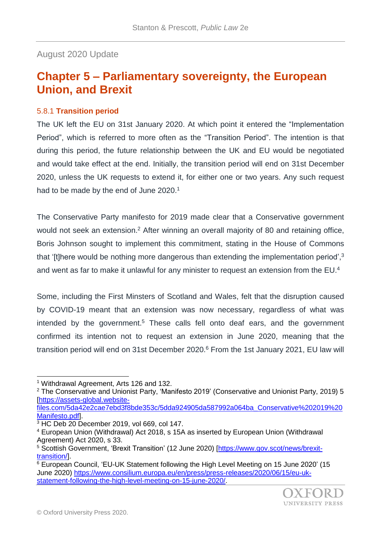August 2020 Update

## **Chapter 5 – Parliamentary sovereignty, the European Union, and Brexit**

## 5.8.1 **Transition period**

The UK left the EU on 31st January 2020. At which point it entered the "Implementation Period", which is referred to more often as the "Transition Period". The intention is that during this period, the future relationship between the UK and EU would be negotiated and would take effect at the end. Initially, the transition period will end on 31st December 2020, unless the UK requests to extend it, for either one or two years. Any such request had to be made by the end of June 2020.<sup>1</sup>

The Conservative Party manifesto for 2019 made clear that a Conservative government would not seek an extension.<sup>2</sup> After winning an overall majority of 80 and retaining office, Boris Johnson sought to implement this commitment, stating in the House of Commons that '[t]here would be nothing more dangerous than extending the implementation period',<sup>3</sup> and went as far to make it unlawful for any minister to request an extension from the EU.<sup>4</sup>

Some, including the First Minsters of Scotland and Wales, felt that the disruption caused by COVID-19 meant that an extension was now necessary, regardless of what was intended by the government.<sup>5</sup> These calls fell onto deaf ears, and the government confirmed its intention not to request an extension in June 2020, meaning that the transition period will end on 31st December 2020.<sup>6</sup> From the 1st January 2021, EU law will

l

[files.com/5da42e2cae7ebd3f8bde353c/5dda924905da587992a064ba\\_Conservative%202019%20](https://assets-global.website-files.com/5da42e2cae7ebd3f8bde353c/5dda924905da587992a064ba_Conservative%202019%20Manifesto.pdf) [Manifesto.pdf\]](https://assets-global.website-files.com/5da42e2cae7ebd3f8bde353c/5dda924905da587992a064ba_Conservative%202019%20Manifesto.pdf).

 $6$  European Council, 'EU-UK Statement following the High Level Meeting on 15 June 2020' (15 June 2020) [https://www.consilium.europa.eu/en/press/press-releases/2020/06/15/eu-uk](https://www.consilium.europa.eu/en/press/press-releases/2020/06/15/eu-uk-statement-following-the-high-level-meeting-on-15-june-2020/)[statement-following-the-high-level-meeting-on-15-june-2020/.](https://www.consilium.europa.eu/en/press/press-releases/2020/06/15/eu-uk-statement-following-the-high-level-meeting-on-15-june-2020/)



<sup>1</sup> Withdrawal Agreement, Arts 126 and 132.

<sup>2</sup> The Conservative and Unionist Party, 'Manifesto 2019' (Conservative and Unionist Party, 2019) 5 [\[https://assets-global.website-](https://assets-global.website-files.com/5da42e2cae7ebd3f8bde353c/5dda924905da587992a064ba_Conservative%202019%20Manifesto.pdf)

 $3$  HC Deb 20 December 2019, vol 669, col 147.

<sup>4</sup> European Union (Withdrawal) Act 2018, s 15A as inserted by European Union (Withdrawal Agreement) Act 2020, s 33.

<sup>&</sup>lt;sup>5</sup> Scottish Government, 'Brexit Transition' (12 June 2020) [\[https://www.gov.scot/news/brexit](https://www.gov.scot/news/brexit-transition/)[transition/\]](https://www.gov.scot/news/brexit-transition/).